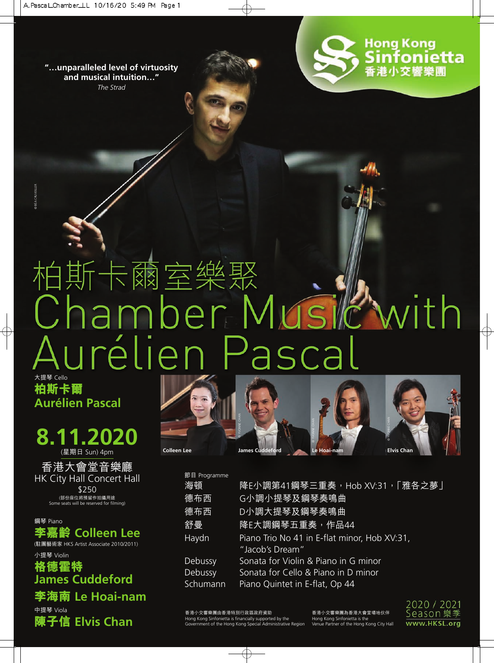**"…unparalleled level of virtuosity and musical intuition…"** *The Strad*





# 柏斯卡爾室樂聚 Chamber Musi with Aurélien Pascal 大提琴 Cello

**柏斯卡爾 Aurélien Pascal**

© BÉA CRUVEILLER

## **8.11.2020** (星期日 Sun) 4pm

香港大會堂音樂廳 HK City Hall Concert Hall \$250 (部份座位將預留作拍攝用途 Some seats will be reserved for filming)

鋼琴 Piano **李嘉齡 Colleen Lee** (駐團藝術家 HKS Artist Associate 2010/2011)

小提琴 Violin **格德霍特 James Cuddeford 李海南 Le Hoai-nam**

中提琴 Viola

**陳子信 Elvis Chan**



**Colleen Lee James Cuddeford Le Hoai-nam Elvis Chan**

© YVONNE CHAN

| 節目 Programme |                                                                 |
|--------------|-----------------------------------------------------------------|
| 海頓           | <u>降E小調第41鋼琴三重奏,Hob XV:31,「雅各之夢」</u>                            |
| 德布西          | G小調小提琴及鋼琴奏鳴曲                                                    |
| 德布西          | D小調大提琴及鋼琴奏鳴曲                                                    |
| 舒曼           | 降E大調鋼琴五重奏,作品44                                                  |
| Haydn        | Piano Trio No 41 in E-flat minor, Hob XV:31,<br>"Jacob's Dream" |
| Debussy      | Sonata for Violin & Piano in G minor                            |
| Debussy      | Sonata for Cello & Piano in D minor                             |
| Schumann     | Piano Quintet in E-flat, Op 44                                  |

© YVONNE CHAN

香港小交響樂團由香港特別行政區政府資助 Hong Kong Sinfonietta is financially supported by the Government of the Hong Kong Special Administrative Region 香港小交響樂團為香港大會堂場地伙伴 Hong Kong Sinfonietta is the Venue Partner of the Hong Kong City Hall